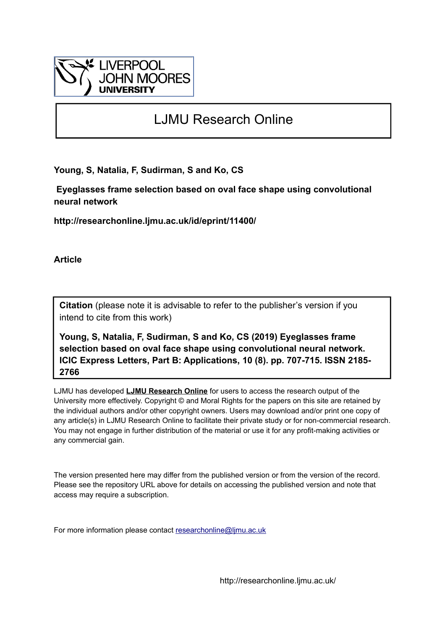

# LJMU Research Online

**Young, S, Natalia, F, Sudirman, S and Ko, CS**

 **Eyeglasses frame selection based on oval face shape using convolutional neural network**

**http://researchonline.ljmu.ac.uk/id/eprint/11400/**

**Article**

**Citation** (please note it is advisable to refer to the publisher's version if you intend to cite from this work)

**Young, S, Natalia, F, Sudirman, S and Ko, CS (2019) Eyeglasses frame selection based on oval face shape using convolutional neural network. ICIC Express Letters, Part B: Applications, 10 (8). pp. 707-715. ISSN 2185- 2766** 

LJMU has developed **[LJMU Research Online](http://researchonline.ljmu.ac.uk/)** for users to access the research output of the University more effectively. Copyright © and Moral Rights for the papers on this site are retained by the individual authors and/or other copyright owners. Users may download and/or print one copy of any article(s) in LJMU Research Online to facilitate their private study or for non-commercial research. You may not engage in further distribution of the material or use it for any profit-making activities or any commercial gain.

The version presented here may differ from the published version or from the version of the record. Please see the repository URL above for details on accessing the published version and note that access may require a subscription.

For more information please contact [researchonline@ljmu.ac.uk](mailto:researchonline@ljmu.ac.uk)

http://researchonline.ljmu.ac.uk/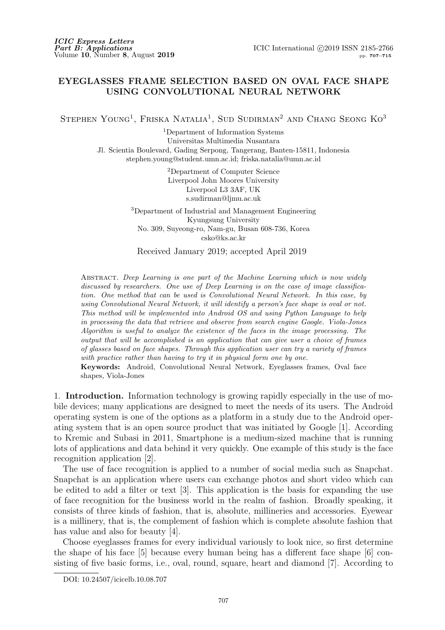# EYEGLASSES FRAME SELECTION BASED ON OVAL FACE SHAPE USING CONVOLUTIONAL NEURAL NETWORK

STEPHEN YOUNG<sup>1</sup>, FRISKA NATALIA<sup>1</sup>, SUD SUDIRMAN<sup>2</sup> AND CHANG SEONG KO<sup>3</sup>

<sup>1</sup>Department of Information Systems Universitas Multimedia Nusantara Jl. Scientia Boulevard, Gading Serpong, Tangerang, Banten-15811, Indonesia stephen.young@student.umn.ac.id; friska.natalia@umn.ac.id

> <sup>2</sup>Department of Computer Science Liverpool John Moores University Liverpool L3 3AF, UK s.sudirman@ljmu.ac.uk

<sup>3</sup>Department of Industrial and Management Engineering Kyungsung University No. 309, Suyeong-ro, Nam-gu, Busan 608-736, Korea csko@ks.ac.kr

Received January 2019; accepted April 2019

Abstract. *Deep Learning is one part of the Machine Learning which is now widely discussed by researchers. One use of Deep Learning is on the case of image classification. One method that can be used is Convolutional Neural Network. In this case, by using Convolutional Neural Network, it will identify a person's face shape is oval or not. This method will be implemented into Android OS and using Python Language to help in processing the data that retrieve and observe from search engine Google. Viola-Jones Algorithm is useful to analyze the existence of the faces in the image processing. The output that will be accomplished is an application that can give user a choice of frames of glasses based on face shapes. Through this application user can try a variety of frames with practice rather than having to try it in physical form one by one.*

Keywords: Android, Convolutional Neural Network, Eyeglasses frames, Oval face shapes, Viola-Jones

1. Introduction. Information technology is growing rapidly especially in the use of mobile devices; many applications are designed to meet the needs of its users. The Android operating system is one of the options as a platform in a study due to the Android operating system that is an open source product that was initiated by Google [1]. According to Kremic and Subasi in 2011, Smartphone is a medium-sized machine that is running lots of applications and data behind it very quickly. One example of this study is the face recognition application [2].

The use of face recognition is applied to a number of social media such as Snapchat. Snapchat is an application where users can exchange photos and short video which can be edited to add a filter or text [3]. This application is the basis for expanding the use of face recognition for the business world in the realm of fashion. Broadly speaking, it consists of three kinds of fashion, that is, absolute, millineries and accessories. Eyewear is a millinery, that is, the complement of fashion which is complete absolute fashion that has value and also for beauty [4].

Choose eyeglasses frames for every individual variously to look nice, so first determine the shape of his face [5] because every human being has a different face shape [6] consisting of five basic forms, i.e., oval, round, square, heart and diamond [7]. According to

DOI: 10.24507/icicelb.10.08.707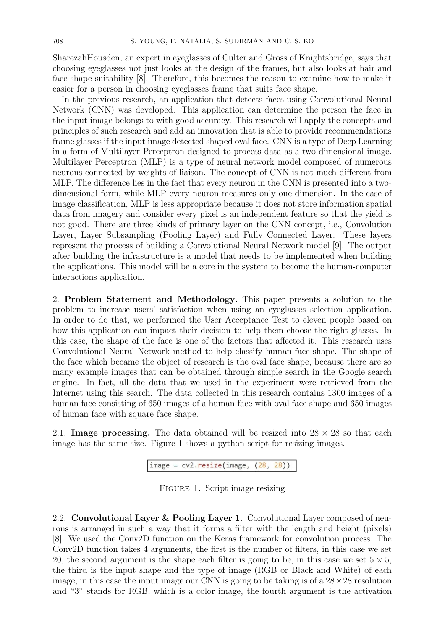SharezahHousden, an expert in eyeglasses of Culter and Gross of Knightsbridge, says that choosing eyeglasses not just looks at the design of the frames, but also looks at hair and face shape suitability [8]. Therefore, this becomes the reason to examine how to make it easier for a person in choosing eyeglasses frame that suits face shape.

In the previous research, an application that detects faces using Convolutional Neural Network (CNN) was developed. This application can determine the person the face in the input image belongs to with good accuracy. This research will apply the concepts and principles of such research and add an innovation that is able to provide recommendations frame glasses if the input image detected shaped oval face. CNN is a type of Deep Learning in a form of Multilayer Perceptron designed to process data as a two-dimensional image. Multilayer Perceptron (MLP) is a type of neural network model composed of numerous neurons connected by weights of liaison. The concept of CNN is not much different from MLP. The difference lies in the fact that every neuron in the CNN is presented into a twodimensional form, while MLP every neuron measures only one dimension. In the case of image classification, MLP is less appropriate because it does not store information spatial data from imagery and consider every pixel is an independent feature so that the yield is not good. There are three kinds of primary layer on the CNN concept, i.e., Convolution Layer, Layer Subsampling (Pooling Layer) and Fully Connected Layer. These layers represent the process of building a Convolutional Neural Network model [9]. The output after building the infrastructure is a model that needs to be implemented when building the applications. This model will be a core in the system to become the human-computer interactions application.

2. Problem Statement and Methodology. This paper presents a solution to the problem to increase users' satisfaction when using an eyeglasses selection application. In order to do that, we performed the User Acceptance Test to eleven people based on how this application can impact their decision to help them choose the right glasses. In this case, the shape of the face is one of the factors that affected it. This research uses Convolutional Neural Network method to help classify human face shape. The shape of the face which became the object of research is the oval face shape, because there are so many example images that can be obtained through simple search in the Google search engine. In fact, all the data that we used in the experiment were retrieved from the Internet using this search. The data collected in this research contains 1300 images of a human face consisting of 650 images of a human face with oval face shape and 650 images of human face with square face shape.

2.1. **Image processing.** The data obtained will be resized into  $28 \times 28$  so that each image has the same size. Figure 1 shows a python script for resizing images.

```
image = cv2 \cdot residue (image, (28, 28))
```
FIGURE 1. Script image resizing

2.2. Convolutional Layer & Pooling Layer 1. Convolutional Layer composed of neurons is arranged in such a way that it forms a filter with the length and height (pixels) [8]. We used the Conv2D function on the Keras framework for convolution process. The Conv2D function takes 4 arguments, the first is the number of filters, in this case we set 20, the second argument is the shape each filter is going to be, in this case we set  $5 \times 5$ , the third is the input shape and the type of image (RGB or Black and White) of each image, in this case the input image our CNN is going to be taking is of a  $28 \times 28$  resolution and "3" stands for RGB, which is a color image, the fourth argument is the activation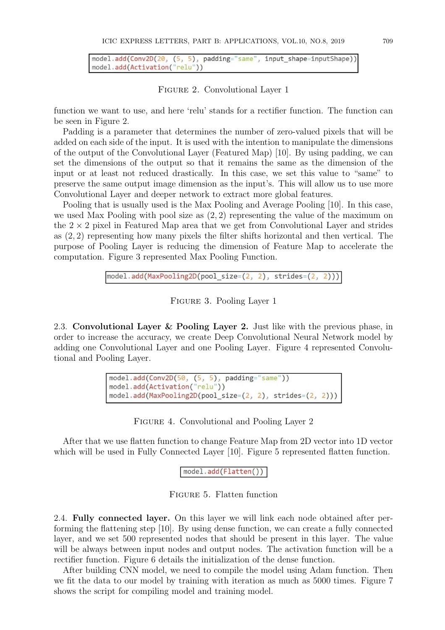model.add(Conv2D(20, (5, 5), padding="same", input\_shape=inputShape)) model.add(Activation("relu"))

## Figure 2. Convolutional Layer 1

function we want to use, and here 'relu' stands for a rectifier function. The function can be seen in Figure 2.

Padding is a parameter that determines the number of zero-valued pixels that will be added on each side of the input. It is used with the intention to manipulate the dimensions of the output of the Convolutional Layer (Featured Map) [10]. By using padding, we can set the dimensions of the output so that it remains the same as the dimension of the input or at least not reduced drastically. In this case, we set this value to "same" to preserve the same output image dimension as the input's. This will allow us to use more Convolutional Layer and deeper network to extract more global features.

Pooling that is usually used is the Max Pooling and Average Pooling [10]. In this case, we used Max Pooling with pool size as  $(2, 2)$  representing the value of the maximum on the  $2 \times 2$  pixel in Featured Map area that we get from Convolutional Layer and strides as (2, 2) representing how many pixels the filter shifts horizontal and then vertical. The purpose of Pooling Layer is reducing the dimension of Feature Map to accelerate the computation. Figure 3 represented Max Pooling Function.

Figure 3. Pooling Layer 1

2.3. Convolutional Layer & Pooling Layer 2. Just like with the previous phase, in order to increase the accuracy, we create Deep Convolutional Neural Network model by adding one Convolutional Layer and one Pooling Layer. Figure 4 represented Convolutional and Pooling Layer.

```
model.add(Conv2D(50, (5, 5), padding='same'))model.add(Activation("relu"))
model.add(MaxPooling2D(pool_size=(2, 2), strides=(2, 2)))
```
Figure 4. Convolutional and Pooling Layer 2

After that we use flatten function to change Feature Map from 2D vector into 1D vector which will be used in Fully Connected Layer [10]. Figure 5 represented flatten function.

### model.add(Flatten())

Figure 5. Flatten function

2.4. Fully connected layer. On this layer we will link each node obtained after performing the flattening step [10]. By using dense function, we can create a fully connected layer, and we set 500 represented nodes that should be present in this layer. The value will be always between input nodes and output nodes. The activation function will be a rectifier function. Figure 6 details the initialization of the dense function.

After building CNN model, we need to compile the model using Adam function. Then we fit the data to our model by training with iteration as much as 5000 times. Figure 7 shows the script for compiling model and training model.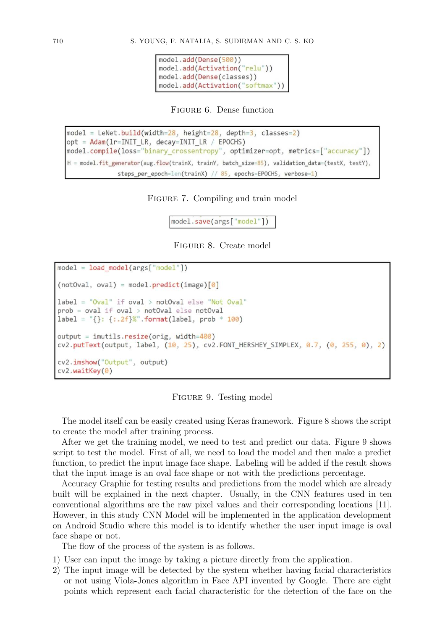```
model.add(Dense(500))
model.add(Activation("relu"))
model.add(Dense(classes))
model.add(Activation("softmax"))
```
Figure 6. Dense function

```
model = LeNet.build(width=28, height=28, depth=3, classes=2)opt = Adam(1r=INIT_LR, decay=INIT_LR / EPOCHS)
model.compile(loss="binary_crossentropy", optimizer=opt, metrics=["accuracy"])
H = model.fit_generator(aug.flow(trainX, trainY, batch_size=85), validation_data=(testX, testY),
              steps_per_epoch=len(trainX) // 85, epochs=EPOCHS, verbose=1)
```
FIGURE 7. Compiling and train model

model.save(args["model"])

Figure 8. Create model

```
model = load model(args["model"](notOval, oval) = model.predict(image)[0]label = "Oval" if oval > notOval else "Not Oval"prob = oval if oval > notOval else notOval
label = "\}: {:.2f}%".format(label, prob * 100)
output = imutils.resize(orig, width=400)
cv2.putText(output, label, (10, 25), cv2.FONT_HERSHEY_SIMPLEX, 0.7, (0, 255, 0), 2)
cv2.imshow("Output", output)
cv2.waitKey(0)
```
Figure 9. Testing model

The model itself can be easily created using Keras framework. Figure 8 shows the script to create the model after training process.

After we get the training model, we need to test and predict our data. Figure 9 shows script to test the model. First of all, we need to load the model and then make a predict function, to predict the input image face shape. Labeling will be added if the result shows that the input image is an oval face shape or not with the predictions percentage.

Accuracy Graphic for testing results and predictions from the model which are already built will be explained in the next chapter. Usually, in the CNN features used in ten conventional algorithms are the raw pixel values and their corresponding locations [11]. However, in this study CNN Model will be implemented in the application development on Android Studio where this model is to identify whether the user input image is oval face shape or not.

The flow of the process of the system is as follows.

- 1) User can input the image by taking a picture directly from the application.
- 2) The input image will be detected by the system whether having facial characteristics or not using Viola-Jones algorithm in Face API invented by Google. There are eight points which represent each facial characteristic for the detection of the face on the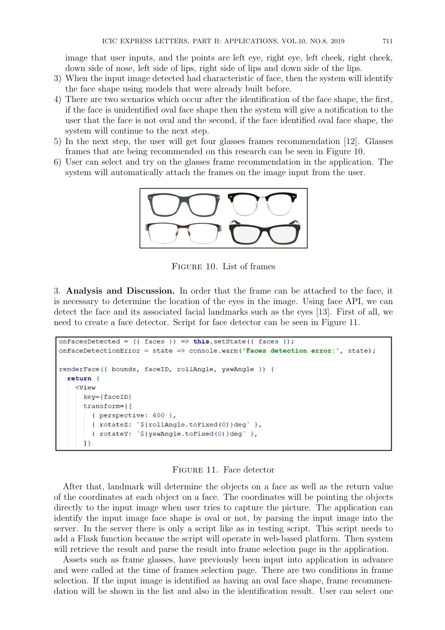image that user inputs, and the points are left eye, right eye, left cheek, right cheek, down side of nose, left side of lips, right side of lips and down side of the lips.

- 3) When the input image detected had characteristic of face, then the system will identify the face shape using models that were already built before.
- 4) There are two scenarios which occur after the identification of the face shape, the first, if the face is unidentified oval face shape then the system will give a notification to the user that the face is not oval and the second, if the face identified oval face shape, the system will continue to the next step.
- 5) In the next step, the user will get four glasses frames recommendation [12]. Glasses frames that are being recommended on this research can be seen in Figure 10.
- 6) User can select and try on the glasses frame recommendation in the application. The system will automatically attach the frames on the image input from the user.



Figure 10. List of frames

3. Analysis and Discussion. In order that the frame can be attached to the face, it is necessary to determine the location of the eyes in the image. Using face API, we can detect the face and its associated facial landmarks such as the eyes [13]. First of all, we need to create a face detector. Script for face detector can be seen in Figure 11.

```
onFacesDetected = ({faces }) => this.setState({ faces });
onFaceDetectionError = state => console.warn('Faces detection error:', state);
renderFace({ bounds, faceID, rollAngle, yawAngle }) {
 return (
    <View
      key={faceID}
      transform={[
        { perspective: 600 },
        { rotateZ: `${rollAngle.toFixed(0)}deg` },
        { rotateY: `${yawAngle.toFixed(0)}deg` },
      ]
```
#### Figure 11. Face detector

After that, landmark will determine the objects on a face as well as the return value of the coordinates at each object on a face. The coordinates will be pointing the objects directly to the input image when user tries to capture the picture. The application can identify the input image face shape is oval or not, by parsing the input image into the server. In the server there is only a script like as in testing script. This script needs to add a Flask function because the script will operate in web-based platform. Then system will retrieve the result and parse the result into frame selection page in the application.

Assets such as frame glasses, have previously been input into application in advance and were called at the time of frames selection page. There are two conditions in frame selection. If the input image is identified as having an oval face shape, frame recommendation will be shown in the list and also in the identification result. User can select one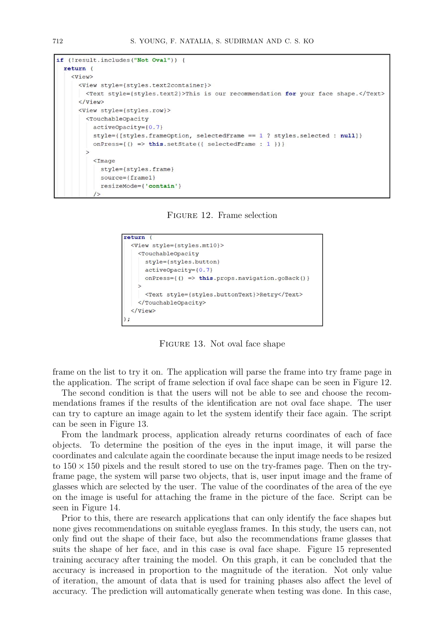```
if (!result.includes("Not Oval")) {
  return (
    \langle \text{View}\rangle<View style={styles.text2container}>
        <Text style={styles.text2}>This is our recommendation for your face shape.</Text>
      \langle/View>
      <View style={styles.row}>
         <TouchableOpacity
           activeOpacity = \{0.7\}style={[styles.frameOption, selectedFrame == 1 ? styles.selected : null]}
           onPress={() => this.setState({ selectedFrame : 1 })}
         \overline{\phantom{0}}\timesImage
             style={styles.frame}
             source={frac1}resizeMode={'contain'}
```
Figure 12. Frame selection

```
return (
  <View style={styles.mt10}>
    <TouchableOpacity
      style={styles.button}
      activeOpacity = \{0.7\}onPress={() => this.props.navigation.goBack()}
      <Text style={styles.buttonText}>Retry</Text>
    </TouchableOpacity>
  \langle/View>
);
```
Figure 13. Not oval face shape

frame on the list to try it on. The application will parse the frame into try frame page in the application. The script of frame selection if oval face shape can be seen in Figure 12.

The second condition is that the users will not be able to see and choose the recommendations frames if the results of the identification are not oval face shape. The user can try to capture an image again to let the system identify their face again. The script can be seen in Figure 13.

From the landmark process, application already returns coordinates of each of face objects. To determine the position of the eyes in the input image, it will parse the coordinates and calculate again the coordinate because the input image needs to be resized to  $150 \times 150$  pixels and the result stored to use on the try-frames page. Then on the tryframe page, the system will parse two objects, that is, user input image and the frame of glasses which are selected by the user. The value of the coordinates of the area of the eye on the image is useful for attaching the frame in the picture of the face. Script can be seen in Figure 14.

Prior to this, there are research applications that can only identify the face shapes but none gives recommendations on suitable eyeglass frames. In this study, the users can, not only find out the shape of their face, but also the recommendations frame glasses that suits the shape of her face, and in this case is oval face shape. Figure 15 represented training accuracy after training the model. On this graph, it can be concluded that the accuracy is increased in proportion to the magnitude of the iteration. Not only value of iteration, the amount of data that is used for training phases also affect the level of accuracy. The prediction will automatically generate when testing was done. In this case,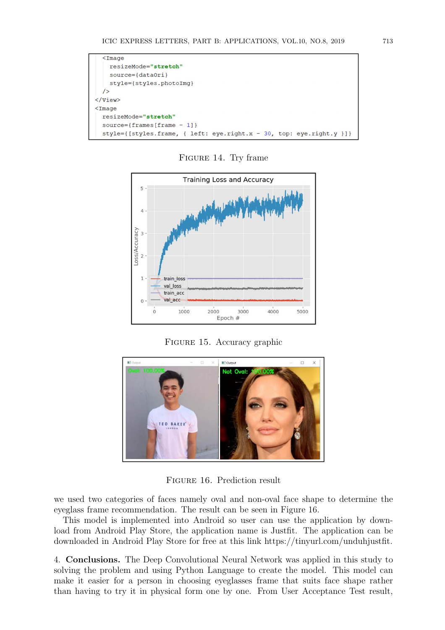

FIGURE 14. Try frame



Figure 15. Accuracy graphic



Figure 16. Prediction result

we used two categories of faces namely oval and non-oval face shape to determine the eyeglass frame recommendation. The result can be seen in Figure 16.

This model is implemented into Android so user can use the application by download from Android Play Store, the application name is Justfit. The application can be downloaded in Android Play Store for free at this link https://tinyurl.com/unduhjustfit.

4. Conclusions. The Deep Convolutional Neural Network was applied in this study to solving the problem and using Python Language to create the model. This model can make it easier for a person in choosing eyeglasses frame that suits face shape rather than having to try it in physical form one by one. From User Acceptance Test result,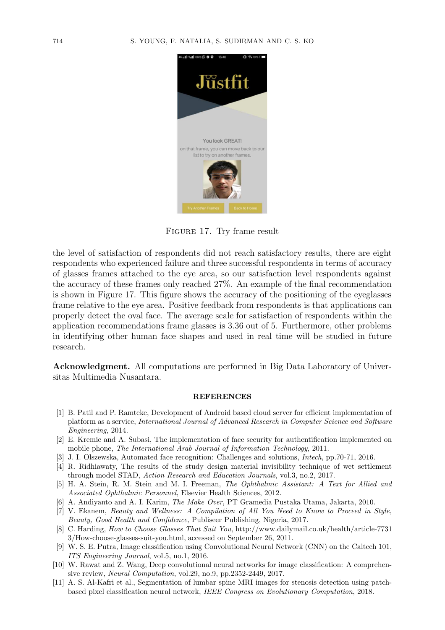

Figure 17. Try frame result

the level of satisfaction of respondents did not reach satisfactory results, there are eight respondents who experienced failure and three successful respondents in terms of accuracy of glasses frames attached to the eye area, so our satisfaction level respondents against the accuracy of these frames only reached 27%. An example of the final recommendation is shown in Figure 17. This figure shows the accuracy of the positioning of the eyeglasses frame relative to the eye area. Positive feedback from respondents is that applications can properly detect the oval face. The average scale for satisfaction of respondents within the application recommendations frame glasses is 3.36 out of 5. Furthermore, other problems in identifying other human face shapes and used in real time will be studied in future research.

Acknowledgment. All computations are performed in Big Data Laboratory of Universitas Multimedia Nusantara.

#### REFERENCES

- [1] B. Patil and P. Ramteke, Development of Android based cloud server for efficient implementation of platform as a service, *International Journal of Advanced Research in Computer Science and Software Engineering*, 2014.
- [2] E. Kremic and A. Subasi, The implementation of face security for authentification implemented on mobile phone, *The International Arab Journal of Information Technology*, 2011.
- [3] J. I. Olszewska, Automated face recognition: Challenges and solutions, *Intech*, pp.70-71, 2016.
- [4] R. Ridhiawaty, The results of the study design material invisibility technique of wet settlement through model STAD, *Action Research and Education Journals*, vol.3, no.2, 2017.
- [5] H. A. Stein, R. M. Stein and M. I. Freeman, *The Ophthalmic Assistant: A Text for Allied and Associated Ophthalmic Personnel*, Elsevier Health Sciences, 2012.
- [6] A. Andiyanto and A. I. Karim, *The Make Over*, PT Gramedia Pustaka Utama, Jakarta, 2010.
- [7] V. Ekanem, *Beauty and Wellness: A Compilation of All You Need to Know to Proceed in Style, Beauty, Good Health and Confidence*, Publiseer Publishing, Nigeria, 2017.
- [8] C. Harding, *How to Choose Glasses That Suit You*, http://www.dailymail.co.uk/health/article-7731 3/How-choose-glasses-suit-you.html, accessed on September 26, 2011.
- [9] W. S. E. Putra, Image classification using Convolutional Neural Network (CNN) on the Caltech 101, *ITS Engineering Journal*, vol.5, no.1, 2016.
- [10] W. Rawat and Z. Wang, Deep convolutional neural networks for image classification: A comprehensive review, *Neural Computation*, vol.29, no.9, pp.2352-2449, 2017.
- [11] A. S. Al-Kafri et al., Segmentation of lumbar spine MRI images for stenosis detection using patchbased pixel classification neural network, *IEEE Congress on Evolutionary Computation*, 2018.